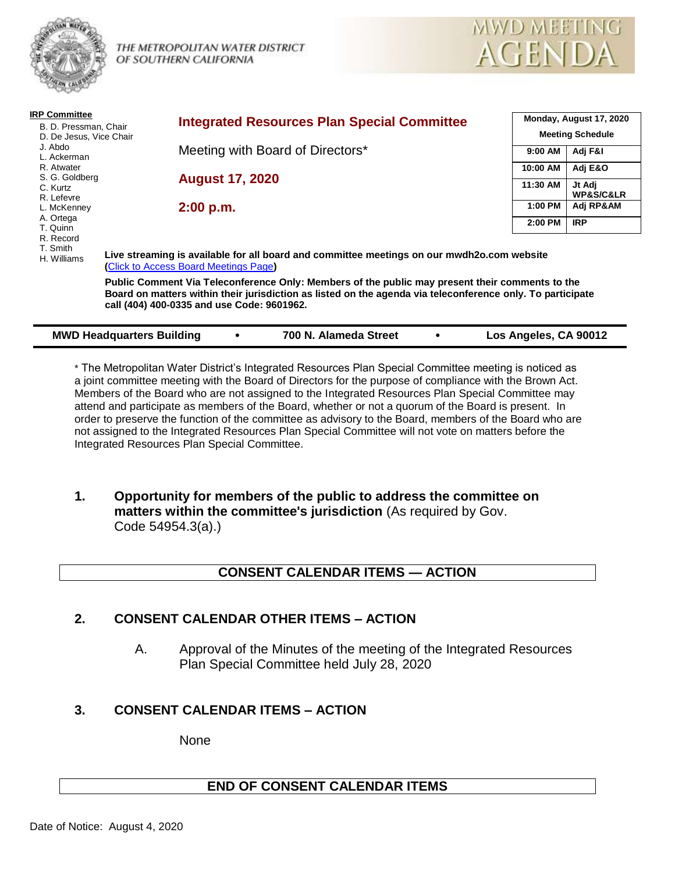

THE METROPOLITAN WATER DISTRICT OF SOUTHERN CALIFORNIA



| <b>IRP Committee</b><br>B. D. Pressman, Chair<br>D. De Jesus, Vice Chair                        | <b>Integrated Resources Plan Special Committee</b>                                                                                                                                                                                                          | Monday, August 17, 2020<br><b>Meeting Schedule</b> |                     |  |
|-------------------------------------------------------------------------------------------------|-------------------------------------------------------------------------------------------------------------------------------------------------------------------------------------------------------------------------------------------------------------|----------------------------------------------------|---------------------|--|
| J. Abdo<br>L. Ackerman<br>R. Atwater<br>S. G. Goldberg<br>C. Kurtz<br>R. Lefevre<br>L. McKenney | Meeting with Board of Directors*                                                                                                                                                                                                                            | 9:00 AM                                            | Adj F&I             |  |
|                                                                                                 | <b>August 17, 2020</b>                                                                                                                                                                                                                                      | 10:00 AM                                           | Adj E&O             |  |
|                                                                                                 |                                                                                                                                                                                                                                                             | 11:30 AM                                           | Jt Adj<br>WP&S/C&LR |  |
|                                                                                                 | 2:00 p.m.                                                                                                                                                                                                                                                   | 1:00 PM                                            | Adj RP&AM           |  |
| A. Ortega<br>T. Quinn                                                                           |                                                                                                                                                                                                                                                             | 2:00 PM                                            | <b>IRP</b>          |  |
| R. Record<br>T. Smith                                                                           |                                                                                                                                                                                                                                                             |                                                    |                     |  |
| H. Williams                                                                                     | Live streaming is available for all board and committee meetings on our mwdh2o.com website<br>(Click to Access Board Meetings Page)                                                                                                                         |                                                    |                     |  |
|                                                                                                 | Public Comment Via Teleconference Only: Members of the public may present their comments to the<br>Board on matters within their jurisdiction as listed on the agenda via teleconference only. To participate<br>call (404) 400-0335 and use Code: 9601962. |                                                    |                     |  |
| 700 N. Alameda Street<br><b>MWD Headquarters Building</b><br>Los Angeles, CA 90012<br>٠         |                                                                                                                                                                                                                                                             |                                                    |                     |  |

\* The Metropolitan Water District's Integrated Resources Plan Special Committee meeting is noticed as a joint committee meeting with the Board of Directors for the purpose of compliance with the Brown Act. Members of the Board who are not assigned to the Integrated Resources Plan Special Committee may attend and participate as members of the Board, whether or not a quorum of the Board is present. In order to preserve the function of the committee as advisory to the Board, members of the Board who are not assigned to the Integrated Resources Plan Special Committee will not vote on matters before the Integrated Resources Plan Special Committee.

**1. Opportunity for members of the public to address the committee on matters within the committee's jurisdiction** (As required by Gov. Code 54954.3(a).)

# **CONSENT CALENDAR ITEMS — ACTION**

# **2. CONSENT CALENDAR OTHER ITEMS – ACTION**

A. Approval of the Minutes of the meeting of the Integrated Resources Plan Special Committee held July 28, 2020

# **3. CONSENT CALENDAR ITEMS – ACTION**

None

# **END OF CONSENT CALENDAR ITEMS**